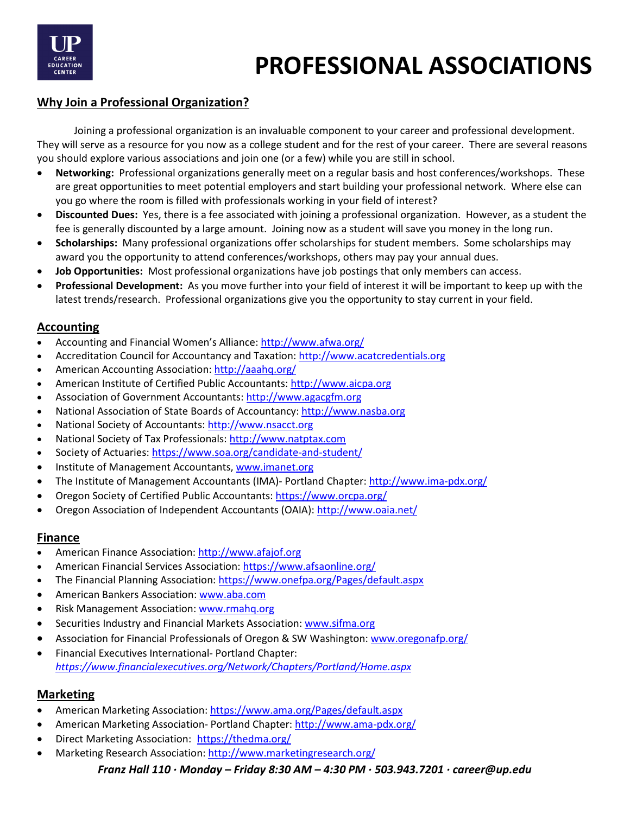

## **Why Join a Professional Organization?**

Joining a professional organization is an invaluable component to your career and professional development. They will serve as a resource for you now as a college student and for the rest of your career. There are several reasons you should explore various associations and join one (or a few) while you are still in school.

- **Networking:** Professional organizations generally meet on a regular basis and host conferences/workshops. These are great opportunities to meet potential employers and start building your professional network. Where else can you go where the room is filled with professionals working in your field of interest?
- **Discounted Dues:** Yes, there is a fee associated with joining a professional organization. However, as a student the fee is generally discounted by a large amount. Joining now as a student will save you money in the long run.
- **Scholarships:** Many professional organizations offer scholarships for student members. Some scholarships may award you the opportunity to attend conferences/workshops, others may pay your annual dues.
- **Job Opportunities:** Most professional organizations have job postings that only members can access.
- **Professional Development:** As you move further into your field of interest it will be important to keep up with the latest trends/research. Professional organizations give you the opportunity to stay current in your field.

### **Accounting**

- Accounting and Financial Women's Alliance[: http://www.afwa.org/](http://www.afwa.org/)
- Accreditation Council for Accountancy and Taxation[: http://www.acatcredentials.org](http://www.acatcredentials.org/)
- American Accounting Association:<http://aaahq.org/>
- American Institute of Certified Public Accountants[: http://www.aicpa.org](http://www.aicpa.org/)
- Association of Government Accountants: [http://www.agacgfm.org](http://www.agacgfm.org/)
- National Association of State Boards of Accountancy: [http://www.nasba.org](http://www.nasba.org/)
- National Society of Accountants: [http://www.nsacct.org](http://www.nsacct.org/)
- National Society of Tax Professionals: [http://www.natptax.com](http://www.natptax.com/)
- Society of Actuaries[: https://www.soa.org/candidate-and-student/](https://www.soa.org/candidate-and-student/)
- Institute of Management Accountants, www.imanet.org
- The Institute of Management Accountants (IMA)- Portland Chapter:<http://www.ima-pdx.org/>
- Oregon Society of Certified Public Accountants[: https://www.orcpa.org/](https://www.orcpa.org/)
- Oregon Association of Independent Accountants (OAIA):<http://www.oaia.net/>

### **Finance**

- American Finance Association[: http://www.afajof.org](http://www.afajof.org/)
- American Financial Services Association:<https://www.afsaonline.org/>
- The Financial Planning Association:<https://www.onefpa.org/Pages/default.aspx>
- American Bankers Association[: www.aba.com](http://www.aba.com/)
- Risk Management Association: www.rmahq.org
- Securities Industry and Financial Markets Association: [www.sifma.org](http://www.sifma.org/)
- Association for Financial Professionals of Oregon & SW Washington: [www.oregonafp.org/](http://www.oregonafp.org/)
- Financial Executives International- Portland Chapter: *<https://www.financialexecutives.org/Network/Chapters/Portland/Home.aspx>*

### **Marketing**

- American Marketing Association:<https://www.ama.org/Pages/default.aspx>
- American Marketing Association- Portland Chapter[: http://www.ama-pdx.org/](http://www.ama-pdx.org/)
- Direct Marketing Association[: https://thedma.org/](https://thedma.org/)
- Marketing Research Association:<http://www.marketingresearch.org/>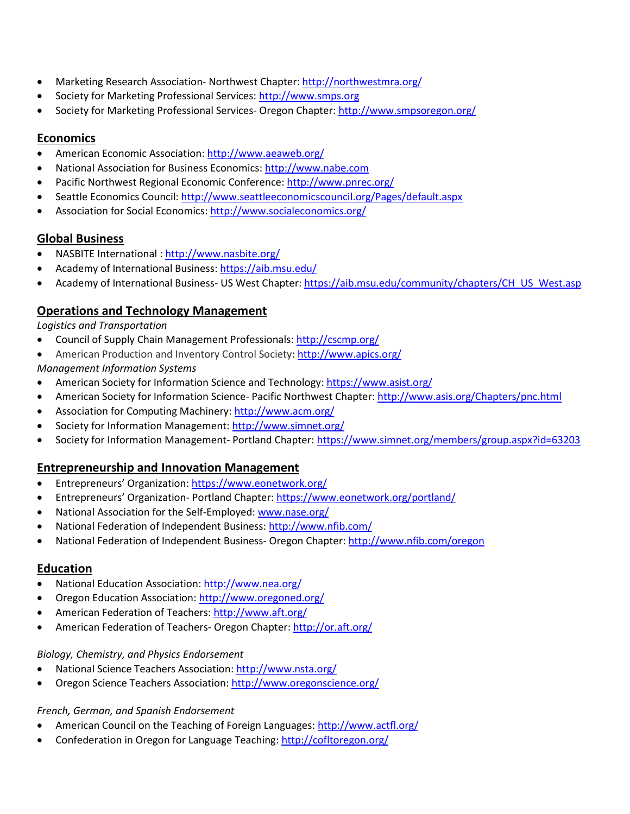- Marketing Research Association- Northwest Chapter:<http://northwestmra.org/>
- Society for Marketing Professional Services[: http://www.smps.org](http://www.smps.org/)
- Society for Marketing Professional Services- Oregon Chapter:<http://www.smpsoregon.org/>

## **Economics**

- American Economic Association[: http://www.aeaweb.org/](http://www.aeaweb.org/)
- National Association for Business Economics[: http://www.nabe.com](http://www.nabe.com/)
- Pacific Northwest Regional Economic Conference:<http://www.pnrec.org/>
- Seattle Economics Council:<http://www.seattleeconomicscouncil.org/Pages/default.aspx>
- Association for Social Economics[: http://www.socialeconomics.org/](http://www.socialeconomics.org/)

## **Global Business**

- NASBITE International [: http://www.nasbite.org/](http://www.nasbite.org/)
- Academy of International Business:<https://aib.msu.edu/>
- Academy of International Business- US West Chapter: [https://aib.msu.edu/community/chapters/CH\\_US\\_West.asp](https://aib.msu.edu/community/chapters/CH_US_West.asp)

# **Operations and Technology Management**

*Logistics and Transportation*

- Council of Supply Chain Management Professionals:<http://cscmp.org/>
- American Production and Inventory Control Society:<http://www.apics.org/>

*Management Information Systems*

- American Society for Information Science and Technology[: https://www.asist.org/](https://www.asist.org/)
- American Society for Information Science- Pacific Northwest Chapter:<http://www.asis.org/Chapters/pnc.html>
- Association for Computing Machinery:<http://www.acm.org/>
- Society for Information Management[: http://www.simnet.org/](http://www.simnet.org/)
- Society for Information Management- Portland Chapter:<https://www.simnet.org/members/group.aspx?id=63203>

## **Entrepreneurship and Innovation Management**

- Entrepreneurs' Organization:<https://www.eonetwork.org/>
- Entrepreneurs' Organization- Portland Chapter[: https://www.eonetwork.org/portland/](https://www.eonetwork.org/portland/)
- National Association for the Self-Employed[: www.nase.org/](http://www.nase.org/)
- National Federation of Independent Business:<http://www.nfib.com/>
- National Federation of Independent Business- Oregon Chapter[: http://www.nfib.com/oregon](http://www.nfib.com/oregon)

## **Education**

- National Education Association:<http://www.nea.org/>
- Oregon Education Association[: http://www.oregoned.org/](http://www.oregoned.org/)
- American Federation of Teachers[: http://www.aft.org/](http://www.aft.org/)
- American Federation of Teachers- Oregon Chapter:<http://or.aft.org/>

### *Biology, Chemistry, and Physics Endorsement*

- National Science Teachers Association[: http://www.nsta.org/](http://www.nsta.org/)
- Oregon Science Teachers Association:<http://www.oregonscience.org/>

### *French, German, and Spanish Endorsement*

- American Council on the Teaching of Foreign Languages[: http://www.actfl.org/](http://www.actfl.org/)
- Confederation in Oregon for Language Teaching[: http://cofltoregon.org/](http://cofltoregon.org/)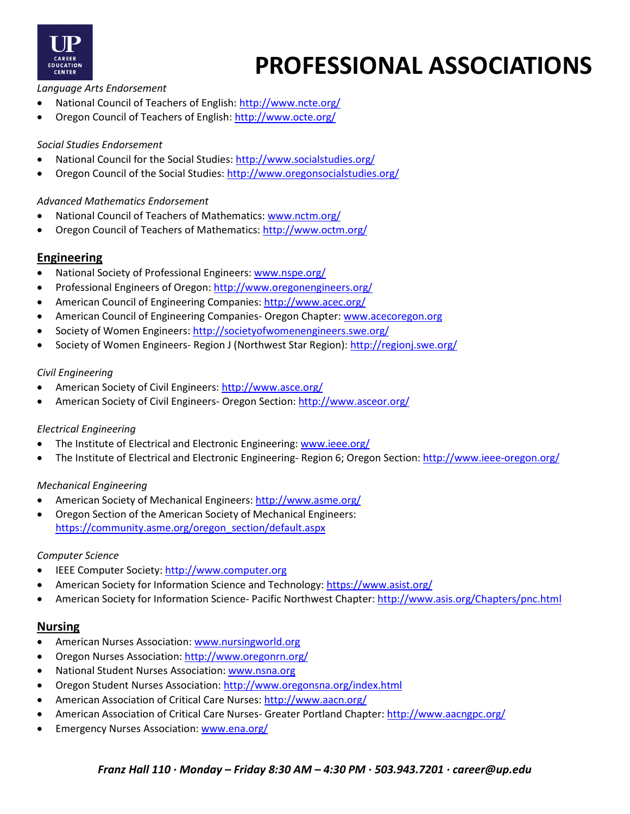

*Language Arts Endorsement*

- National Council of Teachers of English[: http://www.ncte.org/](http://www.ncte.org/)
- Oregon Council of Teachers of English:<http://www.octe.org/>

### *Social Studies Endorsement*

- National Council for the Social Studies:<http://www.socialstudies.org/>
- Oregon Council of the Social Studies[: http://www.oregonsocialstudies.org/](http://www.oregonsocialstudies.org/)

### *Advanced Mathematics Endorsement*

- National Council of Teachers of Mathematics: [www.nctm.org/](http://www.nctm.org/)
- Oregon Council of Teachers of Mathematics[: http://www.octm.org/](http://www.octm.org/)

### **Engineering**

- National Society of Professional Engineers: [www.nspe.org/](http://www.nspe.org/)
- Professional Engineers of Oregon:<http://www.oregonengineers.org/>
- American Council of Engineering Companies[: http://www.acec.org/](http://www.acec.org/)
- American Council of Engineering Companies- Oregon Chapter: [www.acecoregon.org](http://www.acecoregon.org/)
- Society of Women Engineers[: http://societyofwomenengineers.swe.org/](http://societyofwomenengineers.swe.org/)
- Society of Women Engineers- Region J (Northwest Star Region):<http://regionj.swe.org/>

### *Civil Engineering*

- American Society of Civil Engineers[: http://www.asce.org/](http://www.asce.org/)
- American Society of Civil Engineers- Oregon Section:<http://www.asceor.org/>

### *Electrical Engineering*

- The Institute of Electrical and Electronic Engineering: [www.ieee.org/](http://www.ieee.org/)
- The Institute of Electrical and Electronic Engineering- Region 6; Oregon Section:<http://www.ieee-oregon.org/>

### *Mechanical Engineering*

- American Society of Mechanical Engineers:<http://www.asme.org/>
- Oregon Section of the American Society of Mechanical Engineers: [https://community.asme.org/oregon\\_section/default.aspx](https://community.asme.org/oregon_section/default.aspx)

### *Computer Science*

- IEEE Computer Society[: http://www.computer.org](http://www.computer.org/)
- American Society for Information Science and Technology[: https://www.asist.org/](https://www.asist.org/)
- American Society for Information Science- Pacific Northwest Chapter:<http://www.asis.org/Chapters/pnc.html>

### **Nursing**

- American Nurses Association: [www.nursingworld.org](http://www.nursingworld.org/)
- Oregon Nurses Association[: http://www.oregonrn.org/](http://www.oregonrn.org/)
- National Student Nurses Association: [www.nsna.org](http://www.nsna.org/)
- Oregon Student Nurses Association:<http://www.oregonsna.org/index.html>
- American Association of Critical Care Nurses:<http://www.aacn.org/>
- American Association of Critical Care Nurses- Greater Portland Chapter:<http://www.aacngpc.org/>
- Emergency Nurses Association[: www.ena.org/](http://www.ena.org/)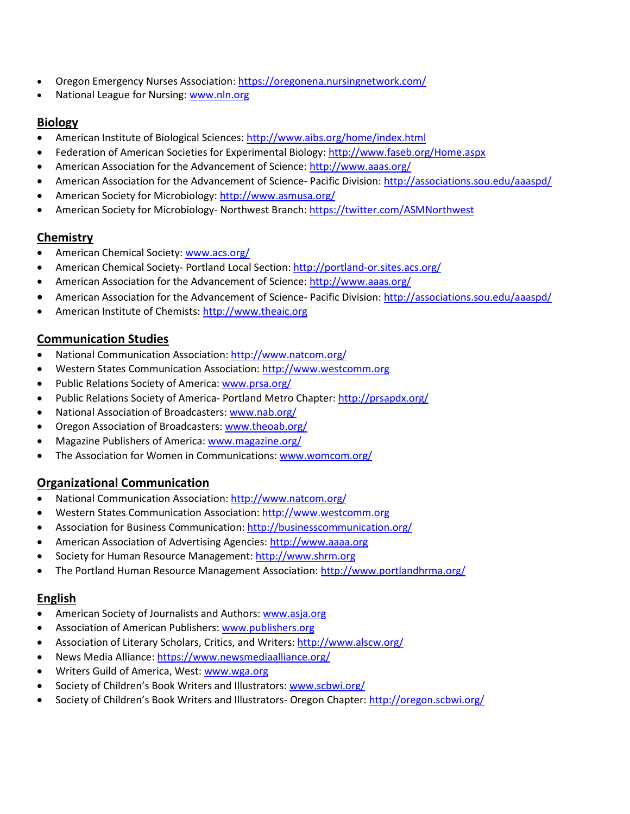- Oregon Emergency Nurses Association[: https://oregonena.nursingnetwork.com/](https://oregonena.nursingnetwork.com/)
- National League for Nursing: [www.nln.org](http://www.nln.org/)

# **Biology**

- American Institute of Biological Sciences[: http://www.aibs.org/home/index.html](http://www.aibs.org/home/index.html)
- Federation of American Societies for Experimental Biology[: http://www.faseb.org/Home.aspx](http://www.faseb.org/Home.aspx)
- American Association for the Advancement of Science[: http://www.aaas.org/](http://www.aaas.org/)
- American Association for the Advancement of Science- Pacific Division:<http://associations.sou.edu/aaaspd/>
- American Society for Microbiology[: http://www.asmusa.org/](http://www.asmusa.org/)
- American Society for Microbiology- Northwest Branch[: https://twitter.com/ASMNorthwest](https://twitter.com/ASMNorthwest)

## **Chemistry**

- American Chemical Society: [www.acs.org/](http://www.acs.org/)
- American Chemical Society- Portland Local Section:<http://portland-or.sites.acs.org/>
- American Association for the Advancement of Science[: http://www.aaas.org/](http://www.aaas.org/)
- American Association for the Advancement of Science- Pacific Division:<http://associations.sou.edu/aaaspd/>
- American Institute of Chemists: [http://www.theaic.org](http://www.theaic.org/)

# **Communication Studies**

- National Communication Association[: http://www.natcom.org/](http://www.natcom.org/)
- Western States Communication Association[: http://www.westcomm.org](http://www.westcomm.org/)
- Public Relations Society of America: [www.prsa.org/](http://www.prsa.org/)
- Public Relations Society of America-Portland Metro Chapter:<http://prsapdx.org/>
- National Association of Broadcasters: [www.nab.org/](http://www.nab.org/)
- Oregon Association of Broadcasters[: www.theoab.org/](http://www.theoab.org/)
- Magazine Publishers of America: [www.magazine.org/](http://www.magazine.org/)
- The Association for Women in Communications[: www.womcom.org/](http://www.womcom.org/)

# **Organizational Communication**

- National Communication Association[: http://www.natcom.org/](http://www.natcom.org/)
- Western States Communication Association[: http://www.westcomm.org](http://www.westcomm.org/)
- Association for Business Communication:<http://businesscommunication.org/>
- American Association of Advertising Agencies: [http://www.aaaa.org](http://www.aaaa.org/)
- Society for Human Resource Management[: http://www.shrm.org](http://www.shrm.org/)
- The Portland Human Resource Management Association[: http://www.portlandhrma.org/](http://www.portlandhrma.org/)

## **English**

- American Society of Journalists and Authors[: www.asja.org](http://www.asja.org/)
- Association of American Publishers[: www.publishers.org](http://www.publishers.org/)
- Association of Literary Scholars, Critics, and Writers:<http://www.alscw.org/>
- News Media Alliance[: https://www.newsmediaalliance.org/](https://www.newsmediaalliance.org/)
- Writers Guild of America, West[: www.wga.org](http://www.wga.org/)
- Society of Children's Book Writers and Illustrators[: www.scbwi.org/](http://www.scbwi.org/)
- Society of Children's Book Writers and Illustrators- Oregon Chapter:<http://oregon.scbwi.org/>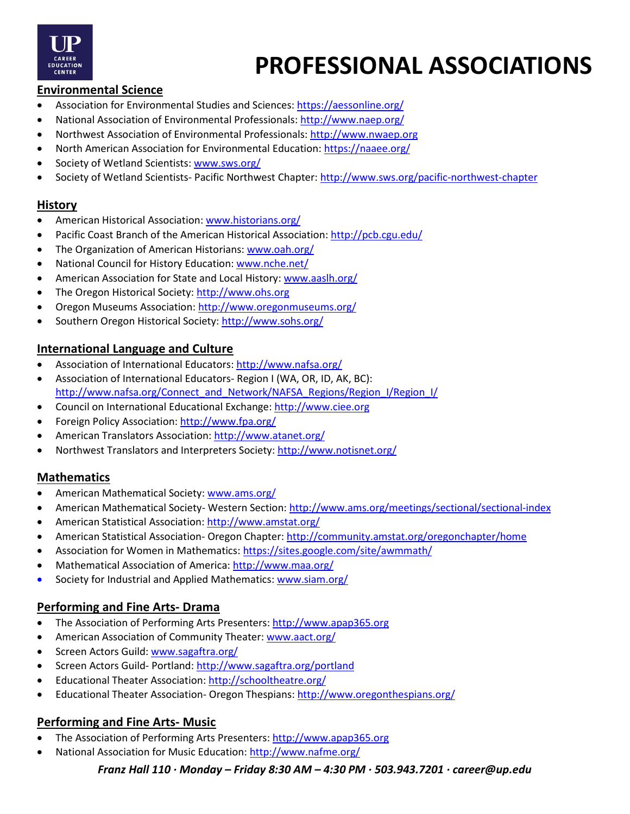

## **Environmental Science**

- Association for Environmental Studies and Sciences:<https://aessonline.org/>
- National Association of Environmental Professionals:<http://www.naep.org/>
- Northwest Association of Environmental Professionals[: http://www.nwaep.org](http://www.nwaep.org/)
- North American Association for Environmental Education:<https://naaee.org/>
- Society of Wetland Scientists[: www.sws.org/](http://www.sws.org/)
- Society of Wetland Scientists- Pacific Northwest Chapter:<http://www.sws.org/pacific-northwest-chapter>

### **History**

- American Historical Association: [www.historians.org/](http://www.historians.org/)
- Pacific Coast Branch of the American Historical Association[: http://pcb.cgu.edu/](http://pcb.cgu.edu/)
- The Organization of American Historians: [www.oah.org/](http://www.oah.org/)
- National Council for History Education: [www.nche.net/](http://www.nche.net/)
- American Association for State and Local History: [www.aaslh.org/](http://www.aaslh.org/)
- The Oregon Historical Society: [http://www.ohs.org](http://www.ohs.org/)
- Oregon Museums Association[: http://www.oregonmuseums.org/](http://www.oregonmuseums.org/)
- Southern Oregon Historical Society[: http://www.sohs.org/](http://www.sohs.org/)

### **International Language and Culture**

- Association of International Educators[: http://www.nafsa.org/](http://www.nafsa.org/)
- Association of International Educators- Region I (WA, OR, ID, AK, BC): [http://www.nafsa.org/Connect\\_and\\_Network/NAFSA\\_Regions/Region\\_I/Region\\_I/](http://www.nafsa.org/Connect_and_Network/NAFSA_Regions/Region_I/Region_I/)
- Council on International Educational Exchange: [http://www.ciee.org](http://www.ciee.org/)
- Foreign Policy Association:<http://www.fpa.org/>
- American Translators Association:<http://www.atanet.org/>
- Northwest Translators and Interpreters Society:<http://www.notisnet.org/>

## **Mathematics**

- American Mathematical Society[: www.ams.org/](http://www.ams.org/)
- American Mathematical Society- Western Section:<http://www.ams.org/meetings/sectional/sectional-index>
- American Statistical Association:<http://www.amstat.org/>
- American Statistical Association- Oregon Chapter[: http://community.amstat.org/oregonchapter/home](http://community.amstat.org/oregonchapter/home)
- Association for Women in Mathematics:<https://sites.google.com/site/awmmath/>
- Mathematical Association of America:<http://www.maa.org/>
- Society for Industrial and Applied Mathematics: [www.siam.org/](http://www.siam.org/)

## **Performing and Fine Arts- Drama**

- The Association of Performing Arts Presenters: [http://www.apap365.org](http://www.apap365.org/)
- American Association of Community Theater: [www.aact.org/](http://www.aact.org/)
- Screen Actors Guild: [www.sagaftra.org/](http://www.sagaftra.org/)
- Screen Actors Guild- Portland:<http://www.sagaftra.org/portland>
- Educational Theater Association[: http://schooltheatre.org/](http://schooltheatre.org/)
- Educational Theater Association- Oregon Thespians:<http://www.oregonthespians.org/>

## **Performing and Fine Arts- Music**

- The Association of Performing Arts Presenters: [http://www.apap365.org](http://www.apap365.org/)
- National Association for Music Education[: http://www.nafme.org/](http://www.nafme.org/)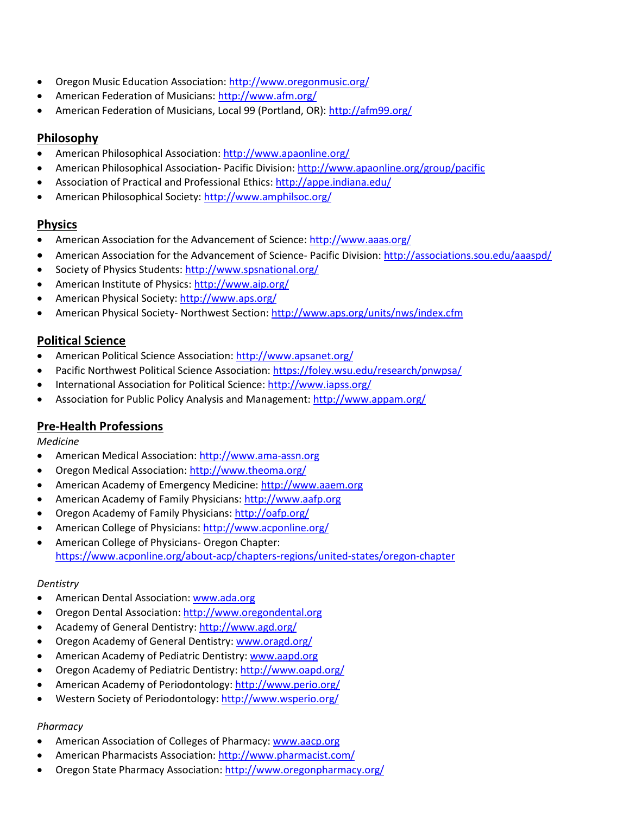- Oregon Music Education Association[: http://www.oregonmusic.org/](http://www.oregonmusic.org/)
- American Federation of Musicians:<http://www.afm.org/>
- American Federation of Musicians, Local 99 (Portland, OR)[: http://afm99.org/](http://afm99.org/)

# **Philosophy**

- American Philosophical Association:<http://www.apaonline.org/>
- American Philosophical Association- Pacific Division:<http://www.apaonline.org/group/pacific>
- Association of Practical and Professional Ethics:<http://appe.indiana.edu/>
- American Philosophical Society:<http://www.amphilsoc.org/>

## **Physics**

- American Association for the Advancement of Science[: http://www.aaas.org/](http://www.aaas.org/)
- American Association for the Advancement of Science- Pacific Division:<http://associations.sou.edu/aaaspd/>
- Society of Physics Students:<http://www.spsnational.org/>
- American Institute of Physics[: http://www.aip.org/](http://www.aip.org/)
- American Physical Society:<http://www.aps.org/>
- American Physical Society- Northwest Section:<http://www.aps.org/units/nws/index.cfm>

# **Political Science**

- American Political Science Association[: http://www.apsanet.org/](http://www.apsanet.org/)
- Pacific Northwest Political Science Association:<https://foley.wsu.edu/research/pnwpsa/>
- International Association for Political Science:<http://www.iapss.org/>
- Association for Public Policy Analysis and Management[: http://www.appam.org/](http://www.appam.org/)

# **Pre-Health Professions**

*Medicine*

- American Medical Association[: http://www.ama-assn.org](http://www.ama-assn.org/)
- Oregon Medical Association:<http://www.theoma.org/>
- American Academy of Emergency Medicine[: http://www.aaem.org](http://www.aaem.org/)
- American Academy of Family Physicians[: http://www.aafp.org](http://www.aafp.org/)
- Oregon Academy of Family Physicians:<http://oafp.org/>
- American College of Physicians:<http://www.acponline.org/>
- American College of Physicians- Oregon Chapter: <https://www.acponline.org/about-acp/chapters-regions/united-states/oregon-chapter>

### *Dentistry*

- American Dental Association[: www.ada.org](http://www.ada.org/)
- Oregon Dental Association: [http://www.oregondental.org](http://www.oregondental.org/)
- Academy of General Dentistry[: http://www.agd.org/](http://www.agd.org/)
- Oregon Academy of General Dentistry[: www.oragd.org/](http://www.oragd.org/)
- American Academy of Pediatric Dentistry: [www.aapd.org](http://www.aapd.org/)
- Oregon Academy of Pediatric Dentistry[: http://www.oapd.org/](http://www.oapd.org/)
- American Academy of Periodontology[: http://www.perio.org/](http://www.perio.org/)
- Western Society of Periodontology:<http://www.wsperio.org/>

### *Pharmacy*

- American Association of Colleges of Pharmacy: [www.aacp.org](http://www.aacp.org/)
- American Pharmacists Association:<http://www.pharmacist.com/>
- Oregon State Pharmacy Association[: http://www.oregonpharmacy.org/](http://www.oregonpharmacy.org/)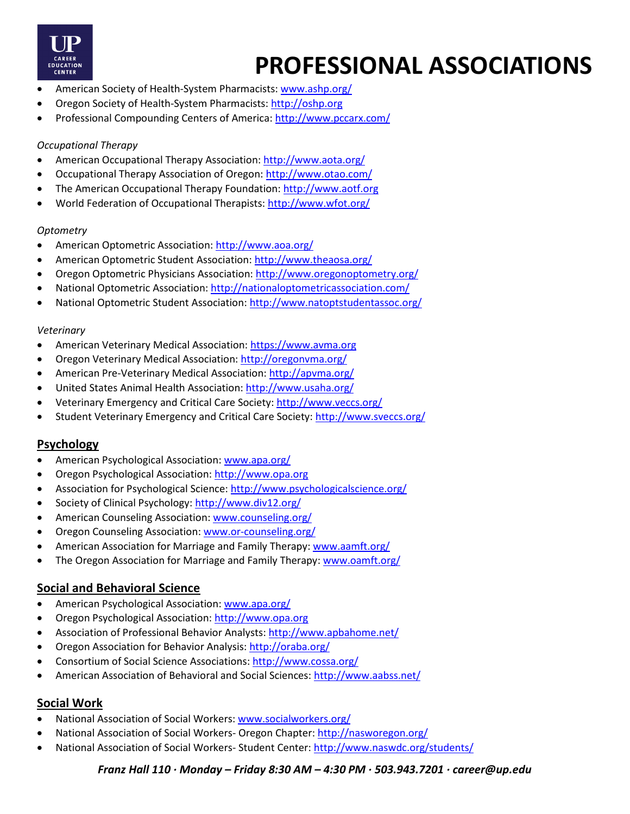

- American Society of Health-System Pharmacists[: www.ashp.org/](http://www.ashp.org/)
- Oregon Society of Health-System Pharmacists: [http://oshp.org](http://oshp.org/)
- Professional Compounding Centers of America[: http://www.pccarx.com/](http://www.pccarx.com/)

### *Occupational Therapy*

- American Occupational Therapy Association:<http://www.aota.org/>
- Occupational Therapy Association of Oregon:<http://www.otao.com/>
- The American Occupational Therapy Foundation: [http://www.aotf.org](http://www.aotf.org/)
- World Federation of Occupational Therapists:<http://www.wfot.org/>

### *Optometry*

- American Optometric Association[: http://www.aoa.org/](http://www.aoa.org/)
- American Optometric Student Association[: http://www.theaosa.org/](http://www.theaosa.org/)
- Oregon Optometric Physicians Association[: http://www.oregonoptometry.org/](http://www.oregonoptometry.org/)
- National Optometric Association:<http://nationaloptometricassociation.com/>
- National Optometric Student Association[: http://www.natoptstudentassoc.org/](http://www.natoptstudentassoc.org/)

### *Veterinary*

- American Veterinary Medical Association: [https://www.avma.org](https://www.avma.org/)
- Oregon Veterinary Medical Association:<http://oregonvma.org/>
- American Pre-Veterinary Medical Association[: http://apvma.org/](http://apvma.org/)
- United States Animal Health Association:<http://www.usaha.org/>
- Veterinary Emergency and Critical Care Society:<http://www.veccs.org/>
- Student Veterinary Emergency and Critical Care Society[: http://www.sveccs.org/](http://www.sveccs.org/)

### **Psychology**

- American Psychological Association: [www.apa.org/](http://www.apa.org/)
- Oregon Psychological Association[: http://www.opa.org](http://www.opa.org/)
- Association for Psychological Science:<http://www.psychologicalscience.org/>
- Society of Clinical Psychology[: http://www.div12.org/](http://www.div12.org/)
- American Counseling Association: [www.counseling.org/](http://www.counseling.org/)
- Oregon Counseling Association: [www.or-counseling.org/](http://www.or-counseling.org/)
- American Association for Marriage and Family Therapy: www.aamft.org/
- The Oregon Association for Marriage and Family Therapy: [www.oamft.org/](http://www.oamft.org/)

## **Social and Behavioral Science**

- American Psychological Association: [www.apa.org/](http://www.apa.org/)
- Oregon Psychological Association[: http://www.opa.org](http://www.opa.org/)
- Association of Professional Behavior Analysts:<http://www.apbahome.net/>
- Oregon Association for Behavior Analysis:<http://oraba.org/>
- Consortium of Social Science Associations[: http://www.cossa.org/](http://www.cossa.org/)
- American Association of Behavioral and Social Sciences:<http://www.aabss.net/>

### **Social Work**

- National Association of Social Workers: [www.socialworkers.org/](http://www.socialworkers.org/)
- National Association of Social Workers-Oregon Chapter[: http://nasworegon.org/](http://nasworegon.org/)
- National Association of Social Workers-Student Center:<http://www.naswdc.org/students/>